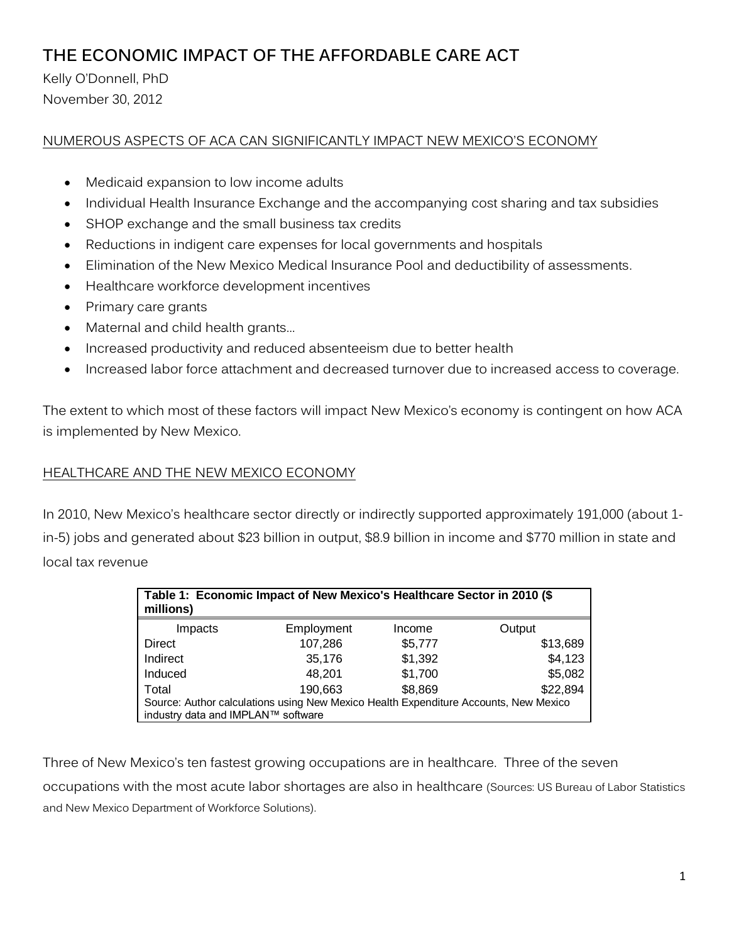# **THE ECONOMIC IMPACT OF THE AFFORDABLE CARE ACT**

Kelly O'Donnell, PhD November 30, 2012

# NUMEROUS ASPECTS OF ACA CAN SIGNIFICANTLY IMPACT NEW MEXICO'S ECONOMY

- Medicaid expansion to low income adults
- Individual Health Insurance Exchange and the accompanying cost sharing and tax subsidies
- SHOP exchange and the small business tax credits
- Reductions in indigent care expenses for local governments and hospitals
- Elimination of the New Mexico Medical Insurance Pool and deductibility of assessments.
- Healthcare workforce development incentives
- Primary care grants
- Maternal and child health grants...
- Increased productivity and reduced absenteeism due to better health
- Increased labor force attachment and decreased turnover due to increased access to coverage.

The extent to which most of these factors will impact New Mexico's economy is contingent on how ACA is implemented by New Mexico.

### HEALTHCARE AND THE NEW MEXICO ECONOMY

In 2010, New Mexico's healthcare sector directly or indirectly supported approximately 191,000 (about 1 in-5) jobs and generated about \$23 billion in output, \$8.9 billion in income and \$770 million in state and local tax revenue

| Table 1: Economic Impact of New Mexico's Healthcare Sector in 2010 (\$)<br>millions)                                       |            |         |          |  |
|----------------------------------------------------------------------------------------------------------------------------|------------|---------|----------|--|
| Impacts                                                                                                                    | Employment | Income  | Output   |  |
| <b>Direct</b>                                                                                                              | 107,286    | \$5,777 | \$13,689 |  |
| Indirect                                                                                                                   | 35,176     | \$1,392 | \$4,123  |  |
| Induced                                                                                                                    | 48,201     | \$1,700 | \$5,082  |  |
| Total                                                                                                                      | 190,663    | \$8,869 | \$22,894 |  |
| Source: Author calculations using New Mexico Health Expenditure Accounts, New Mexico<br>industry data and IMPLAN™ software |            |         |          |  |

Three of New Mexico's ten fastest growing occupations are in healthcare. Three of the seven occupations with the most acute labor shortages are also in healthcare (Sources: US Bureau of Labor Statistics and New Mexico Department of Workforce Solutions).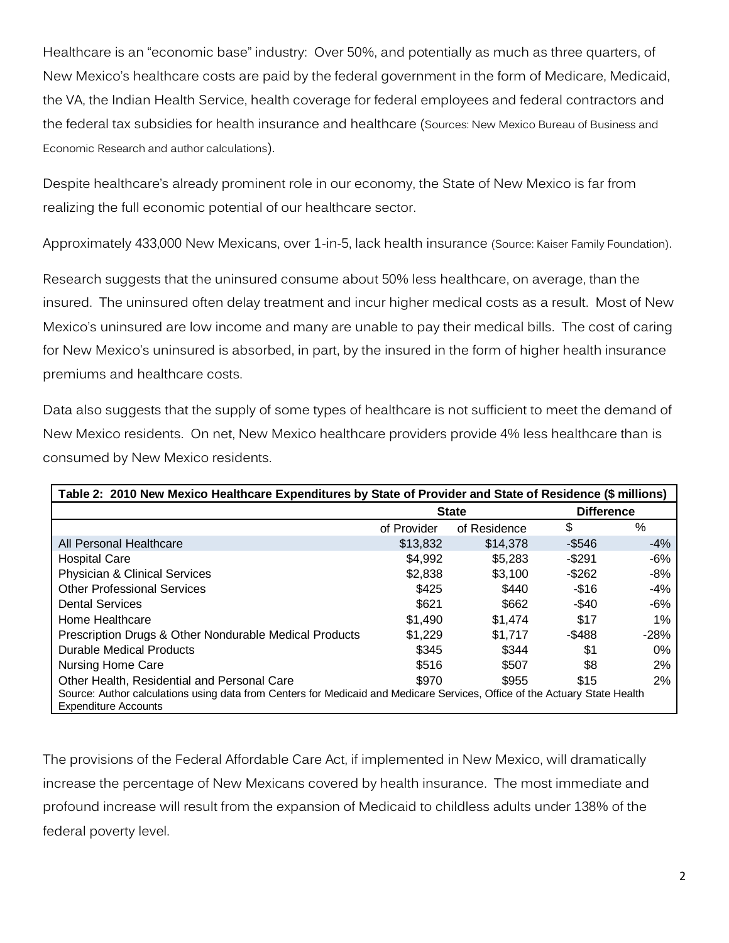Healthcare is an "economic base" industry: Over 50%, and potentially as much as three quarters, of New Mexico's healthcare costs are paid by the federal government in the form of Medicare, Medicaid, the VA, the Indian Health Service, health coverage for federal employees and federal contractors and the federal tax subsidies for health insurance and healthcare (Sources: New Mexico Bureau of Business and Economic Research and author calculations).

Despite healthcare's already prominent role in our economy, the State of New Mexico is far from realizing the full economic potential of our healthcare sector.

Approximately 433,000 New Mexicans, over 1-in-5, lack health insurance (Source: Kaiser Family Foundation).

Research suggests that the uninsured consume about 50% less healthcare, on average, than the insured. The uninsured often delay treatment and incur higher medical costs as a result. Most of New Mexico's uninsured are low income and many are unable to pay their medical bills. The cost of caring for New Mexico's uninsured is absorbed, in part, by the insured in the form of higher health insurance premiums and healthcare costs.

Data also suggests that the supply of some types of healthcare is not sufficient to meet the demand of New Mexico residents. On net, New Mexico healthcare providers provide 4% less healthcare than is consumed by New Mexico residents.

| Table 2: 2010 New Mexico Healthcare Expenditures by State of Provider and State of Residence (\$ millions)                                                |              |              |                   |        |
|-----------------------------------------------------------------------------------------------------------------------------------------------------------|--------------|--------------|-------------------|--------|
|                                                                                                                                                           | <b>State</b> |              | <b>Difference</b> |        |
|                                                                                                                                                           | of Provider  | of Residence | \$                | %      |
| All Personal Healthcare                                                                                                                                   | \$13,832     | \$14,378     | $-$ \$546         | $-4%$  |
| <b>Hospital Care</b>                                                                                                                                      | \$4,992      | \$5,283      | $-$ \$291         | -6%    |
| <b>Physician &amp; Clinical Services</b>                                                                                                                  | \$2,838      | \$3,100      | $-$ \$262         | -8%    |
| <b>Other Professional Services</b>                                                                                                                        | \$425        | \$440        | $-$16$            | $-4%$  |
| <b>Dental Services</b>                                                                                                                                    | \$621        | \$662        | $-$ \$40          | $-6%$  |
| Home Healthcare                                                                                                                                           | \$1,490      | \$1,474      | \$17              | $1\%$  |
| Prescription Drugs & Other Nondurable Medical Products                                                                                                    | \$1,229      | \$1,717      | $-$ \$488         | $-28%$ |
| <b>Durable Medical Products</b>                                                                                                                           | \$345        | \$344        | \$1               | 0%     |
| <b>Nursing Home Care</b>                                                                                                                                  | \$516        | \$507        | \$8               | 2%     |
| Other Health, Residential and Personal Care                                                                                                               | \$970        | \$955        | \$15              | 2%     |
| Source: Author calculations using data from Centers for Medicaid and Medicare Services, Office of the Actuary State Health<br><b>Expenditure Accounts</b> |              |              |                   |        |

The provisions of the Federal Affordable Care Act, if implemented in New Mexico, will dramatically increase the percentage of New Mexicans covered by health insurance. The most immediate and profound increase will result from the expansion of Medicaid to childless adults under 138% of the federal poverty level.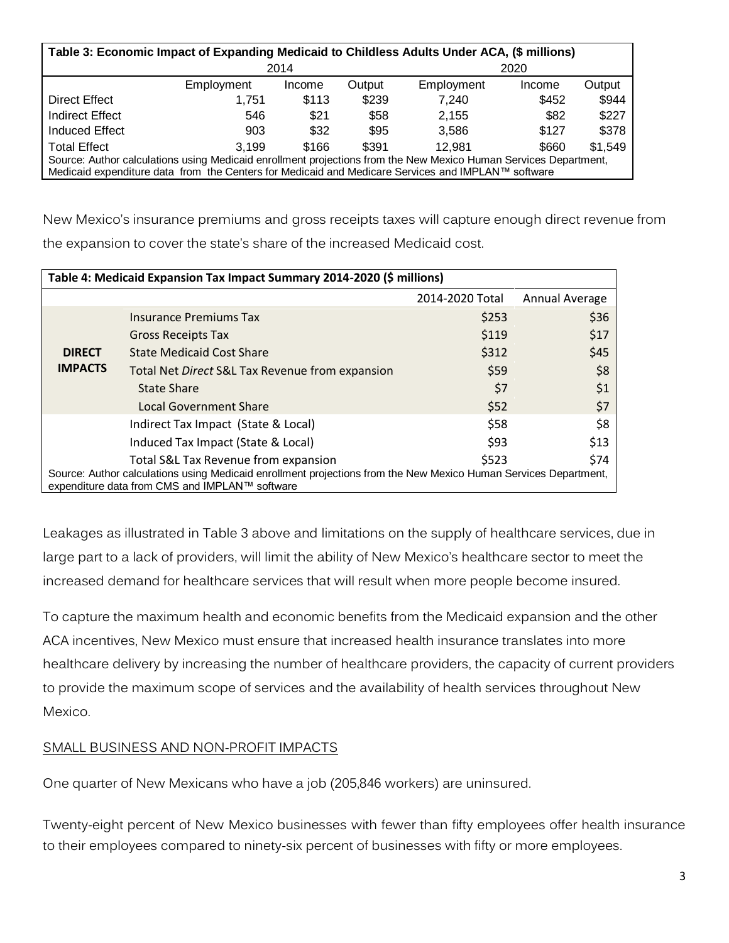| Table 3: Economic Impact of Expanding Medicaid to Childless Adults Under ACA, (\$ millions)                      |            |        |        |            |        |         |
|------------------------------------------------------------------------------------------------------------------|------------|--------|--------|------------|--------|---------|
|                                                                                                                  | 2014       |        | 2020   |            |        |         |
|                                                                                                                  | Employment | Income | Output | Employment | Income | Output  |
| <b>Direct Effect</b>                                                                                             | 1.751      | \$113  | \$239  | 7.240      | \$452  | \$944   |
| <b>Indirect Effect</b>                                                                                           | 546        | \$21   | \$58   | 2.155      | \$82   | \$227   |
| Induced Effect                                                                                                   | 903        | \$32   | \$95   | 3.586      | \$127  | \$378   |
| <b>Total Effect</b>                                                                                              | 3.199      | \$166  | \$391  | 12,981     | \$660  | \$1,549 |
| Source: Author calculations using Medicaid enrollment projections from the New Mexico Human Services Department, |            |        |        |            |        |         |
| Medicaid expenditure data from the Centers for Medicaid and Medicare Services and IMPLAN™ software               |            |        |        |            |        |         |

New Mexico's insurance premiums and gross receipts taxes will capture enough direct revenue from the expansion to cover the state's share of the increased Medicaid cost.

| Table 4: Medicaid Expansion Tax Impact Summary 2014-2020 (\$ millions)                                                                                             |                                                 |                 |                |  |  |
|--------------------------------------------------------------------------------------------------------------------------------------------------------------------|-------------------------------------------------|-----------------|----------------|--|--|
|                                                                                                                                                                    |                                                 | 2014-2020 Total | Annual Average |  |  |
|                                                                                                                                                                    | Insurance Premiums Tax                          | \$253           | \$36           |  |  |
|                                                                                                                                                                    | <b>Gross Receipts Tax</b>                       | \$119           | \$17           |  |  |
| <b>DIRECT</b>                                                                                                                                                      | <b>State Medicaid Cost Share</b>                | \$312           | \$45           |  |  |
| <b>IMPACTS</b>                                                                                                                                                     | Total Net Direct S&L Tax Revenue from expansion | \$59            | \$8            |  |  |
|                                                                                                                                                                    | <b>State Share</b>                              | \$7             | \$1            |  |  |
|                                                                                                                                                                    | Local Government Share                          | \$52            | \$7            |  |  |
|                                                                                                                                                                    | Indirect Tax Impact (State & Local)             | \$58            | \$8            |  |  |
|                                                                                                                                                                    | Induced Tax Impact (State & Local)              | \$93            | \$13           |  |  |
|                                                                                                                                                                    | Total S&L Tax Revenue from expansion            | \$523           | \$74           |  |  |
| Source: Author calculations using Medicaid enrollment projections from the New Mexico Human Services Department,<br>expenditure data from CMS and IMPLAN™ software |                                                 |                 |                |  |  |

Leakages as illustrated in Table 3 above and limitations on the supply of healthcare services, due in large part to a lack of providers, will limit the ability of New Mexico's healthcare sector to meet the increased demand for healthcare services that will result when more people become insured.

To capture the maximum health and economic benefits from the Medicaid expansion and the other ACA incentives, New Mexico must ensure that increased health insurance translates into more healthcare delivery by increasing the number of healthcare providers, the capacity of current providers to provide the maximum scope of services and the availability of health services throughout New Mexico.

## SMALL BUSINESS AND NON-PROFIT IMPACTS

One quarter of New Mexicans who have a job (205,846 workers) are uninsured.

Twenty-eight percent of New Mexico businesses with fewer than fifty employees offer health insurance to their employees compared to ninety-six percent of businesses with fifty or more employees.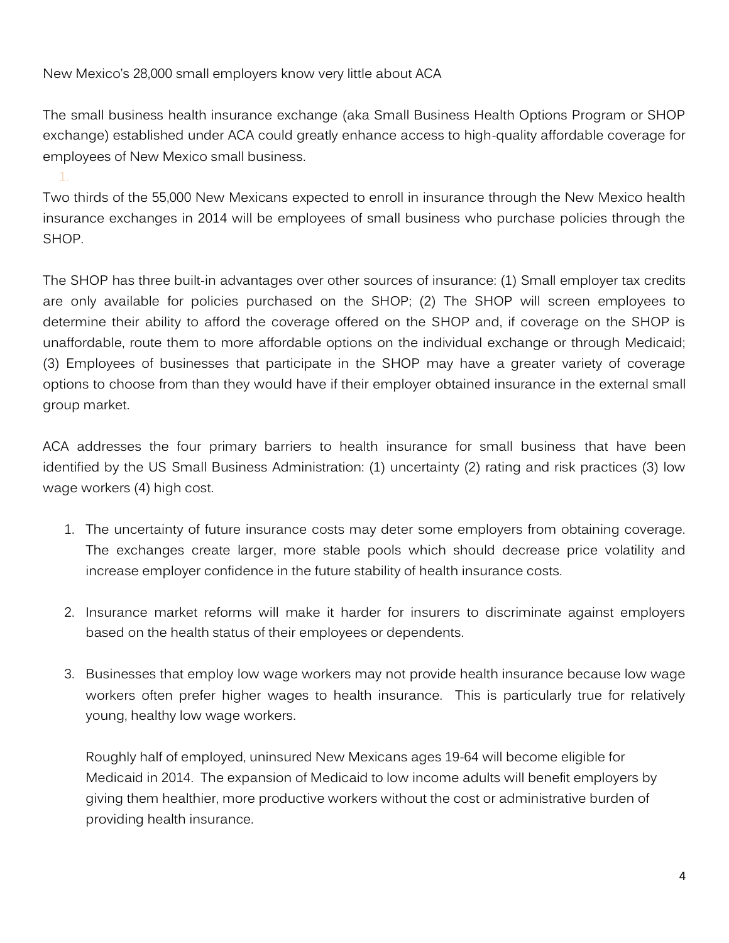New Mexico's 28,000 small employers know very little about ACA

The small business health insurance exchange (aka Small Business Health Options Program or SHOP exchange) established under ACA could greatly enhance access to high-quality affordable coverage for employees of New Mexico small business.

## 1.

Two thirds of the 55,000 New Mexicans expected to enroll in insurance through the New Mexico health insurance exchanges in 2014 will be employees of small business who purchase policies through the SHOP.

The SHOP has three built-in advantages over other sources of insurance: (1) Small employer tax credits are only available for policies purchased on the SHOP; (2) The SHOP will screen employees to determine their ability to afford the coverage offered on the SHOP and, if coverage on the SHOP is unaffordable, route them to more affordable options on the individual exchange or through Medicaid; (3) Employees of businesses that participate in the SHOP may have a greater variety of coverage options to choose from than they would have if their employer obtained insurance in the external small group market.

ACA addresses the four primary barriers to health insurance for small business that have been identified by the US Small Business Administration: (1) uncertainty (2) rating and risk practices (3) low wage workers (4) high cost.

- 1. The uncertainty of future insurance costs may deter some employers from obtaining coverage. The exchanges create larger, more stable pools which should decrease price volatility and increase employer confidence in the future stability of health insurance costs.
- 2. Insurance market reforms will make it harder for insurers to discriminate against employers based on the health status of their employees or dependents.
- 3. Businesses that employ low wage workers may not provide health insurance because low wage workers often prefer higher wages to health insurance. This is particularly true for relatively young, healthy low wage workers.

Roughly half of employed, uninsured New Mexicans ages 19-64 will become eligible for Medicaid in 2014. The expansion of Medicaid to low income adults will benefit employers by giving them healthier, more productive workers without the cost or administrative burden of providing health insurance.